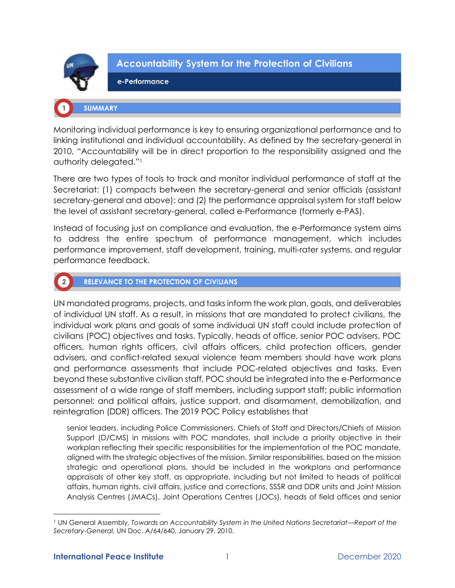

# **Accountability System for the Protection of Civilians**

### e-Performance

## **SUMMARY**

Monitoring individual performance is key to ensuring organizational performance and to linking institutional and individual accountability. As defined by the secretary-general in 2010, "Accountability will be in direct proportion to the responsibility assigned and the authority delegated."<sup>1</sup>

There are two types of tools to track and monitor individual performance of staff at the Secretariat: (1) compacts between the secretary-general and senior officials (assistant secretary-general and above); and (2) the performance appraisal system for staff below the level of assistant secretary-general, called e-Performance (formerly e-PAS).

Instead of focusing just on compliance and evaluation, the e-Performance system aims to address the entire spectrum of performance management, which includes performance improvement, staff development, training, multi-rater systems, and regular performance feedback.



## **RELEVANCE TO THE PROTECTION OF CIVILIANS**

UN mandated programs, projects, and tasks inform the work plan, goals, and deliverables of individual UN staff. As a result, in missions that are mandated to protect civilians, the individual work plans and goals of some individual UN staff could include protection of civilians (POC) objectives and tasks. Typically, heads of office, senior POC advisers, POC officers, human rights officers, civil affairs officers, child protection officers, gender advisers, and conflict-related sexual violence team members should have work plans and performance assessments that include POC-related objectives and tasks. Even beyond these substantive civilian staff, POC should be integrated into the e-Performance assessment of a wide range of staff members, including support staff; public information personnel; and political affairs, justice support, and disarmament, demobilization, and reintegration (DDR) officers. The 2019 POC Policy establishes that

senior leaders, including Police Commissioners, Chiefs of Staff and Directors/Chiefs of Mission Support (D/CMS) in missions with POC mandates, shall include a priority objective in their workplan reflecting their specific responsibilities for the implementation of the POC mandate, aligned with the strategic objectives of the mission. Similar responsibilities, based on the mission strategic and operational plans, should be included in the workplans and performance appraisals of other key staff, as appropriate, including but not limited to heads of political affairs, human rights, civil affairs, justice and corrections, SSSR and DDR units and Joint Mission Analysis Centres (JMACs), Joint Operations Centres (JOCs), heads of field offices and senior

<sup>1</sup> UN General Assembly, *Towards an Accountability System in the United Nations Secretariat—Report of the Secretary-General*, UN Doc. A/64/640, January 29, 2010.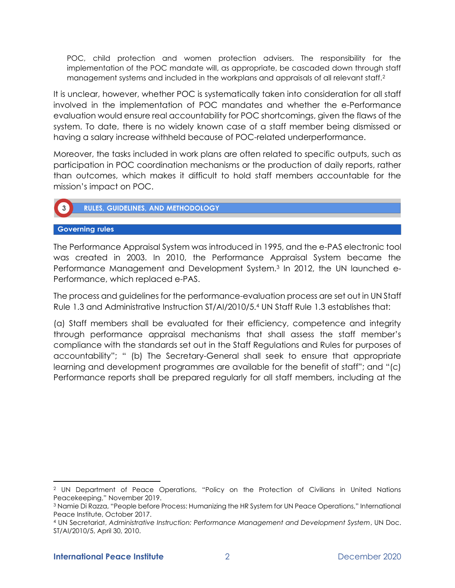POC, child protection and women protection advisers. The responsibility for the implementation of the POC mandate will, as appropriate, be cascaded down through staff management systems and included in the workplans and appraisals of all relevant staff.<sup>2</sup>

It is unclear, however, whether POC is systematically taken into consideration for all staff involved in the implementation of POC mandates and whether the e-Performance evaluation would ensure real accountability for POC shortcomings, given the flaws of the system. To date, there is no widely known case of a staff member being dismissed or having a salary increase withheld because of POC-related underperformance.

Moreover, the tasks included in work plans are often related to specific outputs, such as participation in POC coordination mechanisms or the production of daily reports, rather than outcomes, which makes it difficult to hold staff members accountable for the mission's impact on POC.



**RULES, GUIDELINES, AND METHODOLOGY** 

## **Governing rules**

The Performance Appraisal System was introduced in 1995, and the e-PAS electronic tool was created in 2003. In 2010, the Performance Appraisal System became the Performance Management and Development System.<sup>3</sup> In 2012, the UN launched e-Performance, which replaced e-PAS.

The process and guidelines for the performance-evaluation process are set out in UN Staff Rule 1.3 and Administrative Instruction ST/AI/2010/5.<sup>4</sup> UN Staff Rule 1.3 establishes that:

(a) Staff members shall be evaluated for their efficiency, competence and integrity through performance appraisal mechanisms that shall assess the staff member's compliance with the standards set out in the Staff Regulations and Rules for purposes of accountability"; " (b) The Secretary-General shall seek to ensure that appropriate learning and development programmes are available for the benefit of staff"; and "(c) Performance reports shall be prepared regularly for all staff members, including at the

<sup>2</sup> UN Department of Peace Operations, "Policy on the Protection of Civilians in United Nations Peacekeeping," November 2019.

<sup>3</sup> Namie Di Razza, "People before Process: Humanizing the HR System for UN Peace Operations," International Peace Institute, October 2017.

<sup>4</sup> UN Secretariat, *Administrative Instruction: Performance Management and Development System*, UN Doc. ST/AI/2010/5, April 30, 2010.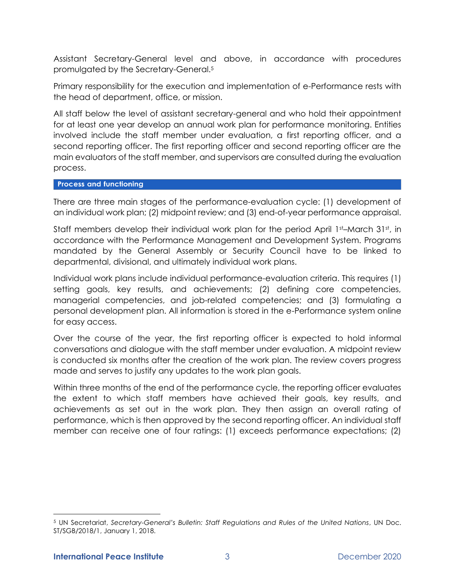Assistant Secretary-General level and above, in accordance with procedures promulgated by the Secretary-General.<sup>5</sup>

Primary responsibility for the execution and implementation of e-Performance rests with the head of department, office, or mission.

All staff below the level of assistant secretary-general and who hold their appointment for at least one year develop an annual work plan for performance monitoring. Entities involved include the staff member under evaluation, a first reporting officer, and a second reporting officer. The first reporting officer and second reporting officer are the main evaluators of the staff member, and supervisors are consulted during the evaluation process.

#### **Process and functioning**

There are three main stages of the performance-evaluation cycle: (1) development of an individual work plan; (2) midpoint review; and (3) end-of-year performance appraisal.

Staff members develop their individual work plan for the period April 1st–March 31st, in accordance with the Performance Management and Development System. Programs mandated by the General Assembly or Security Council have to be linked to departmental, divisional, and ultimately individual work plans.

Individual work plans include individual performance-evaluation criteria. This requires (1) setting goals, key results, and achievements; (2) defining core competencies, managerial competencies, and job-related competencies; and (3) formulating a personal development plan. All information is stored in the e-Performance system online for easy access.

Over the course of the year, the first reporting officer is expected to hold informal conversations and dialogue with the staff member under evaluation. A midpoint review is conducted six months after the creation of the work plan. The review covers progress made and serves to justify any updates to the work plan goals.

Within three months of the end of the performance cycle, the reporting officer evaluates the extent to which staff members have achieved their goals, key results, and achievements as set out in the work plan. They then assign an overall rating of performance, which is then approved by the second reporting officer. An individual staff member can receive one of four ratings: (1) exceeds performance expectations; (2)

<sup>5</sup> UN Secretariat, *Secretary-General's Bulletin: Staff Regulations and Rules of the United Nations*, UN Doc. ST/SGB/2018/1, January 1, 2018.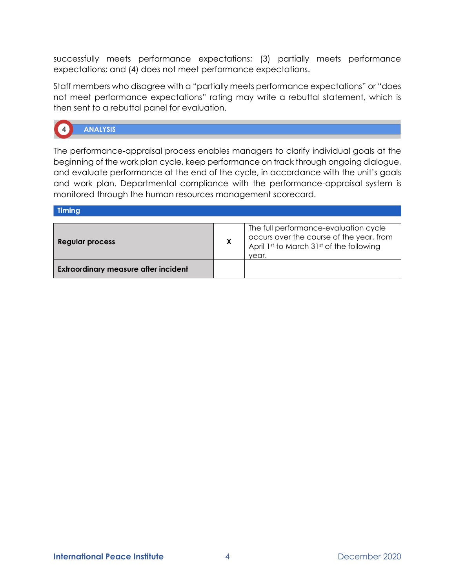successfully meets performance expectations; (3) partially meets performance expectations; and (4) does not meet performance expectations.

Staff members who disagree with a "partially meets performance expectations" or "does not meet performance expectations" rating may write a rebuttal statement, which is then sent to a rebuttal panel for evaluation.



**ANALYSIS** 

The performance-appraisal process enables managers to clarify individual goals at the beginning of the work plan cycle, keep performance on track through ongoing dialogue, and evaluate performance at the end of the cycle, in accordance with the unit's goals and work plan. Departmental compliance with the performance-appraisal system is monitored through the human resources management scorecard.

**Timing** 

| Regular process                             | X | The full performance-evaluation cycle<br>occurs over the course of the year, from<br>April 1st to March 31st of the following<br>vear. |
|---------------------------------------------|---|----------------------------------------------------------------------------------------------------------------------------------------|
| <b>Extraordinary measure after incident</b> |   |                                                                                                                                        |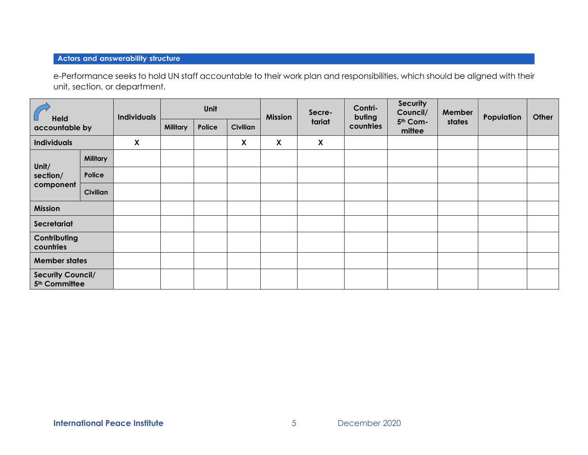# **Actors and answerability structure**

e-Performance seeks to hold UN staff accountable to their work plan and responsibilities, which should be aligned with their unit, section, or department.

| <b>Held</b>                                           |                 | <b>Individuals</b> | Unit            |        | <b>Mission</b>  | Secre- | Contri-<br>buting | <b>Security</b><br>Council/ | Member             | Population | Other |  |
|-------------------------------------------------------|-----------------|--------------------|-----------------|--------|-----------------|--------|-------------------|-----------------------------|--------------------|------------|-------|--|
| accountable by                                        |                 |                    | <b>Military</b> | Police | <b>Civilian</b> |        | tariat            | countries                   | 5th Com-<br>mittee | states     |       |  |
| <b>Individuals</b>                                    |                 | X                  |                 |        | X               | X      | X                 |                             |                    |            |       |  |
| Unit/                                                 | <b>Military</b> |                    |                 |        |                 |        |                   |                             |                    |            |       |  |
| section/                                              | Police          |                    |                 |        |                 |        |                   |                             |                    |            |       |  |
| component                                             | Civilian        |                    |                 |        |                 |        |                   |                             |                    |            |       |  |
| <b>Mission</b>                                        |                 |                    |                 |        |                 |        |                   |                             |                    |            |       |  |
| Secretariat                                           |                 |                    |                 |        |                 |        |                   |                             |                    |            |       |  |
| Contributing<br>countries                             |                 |                    |                 |        |                 |        |                   |                             |                    |            |       |  |
| <b>Member states</b>                                  |                 |                    |                 |        |                 |        |                   |                             |                    |            |       |  |
| <b>Security Council/</b><br>5 <sup>th</sup> Committee |                 |                    |                 |        |                 |        |                   |                             |                    |            |       |  |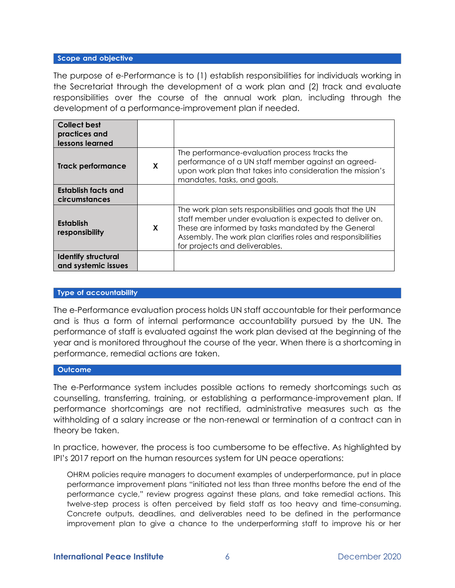#### Scope and objective

The purpose of e-Performance is to (1) establish responsibilities for individuals working in the Secretariat through the development of a work plan and (2) track and evaluate responsibilities over the course of the annual work plan, including through the development of a performance-improvement plan if needed.

| Collect best<br>practices and<br>lessons learned  |   |                                                                                                                                                                                                                                                                                |
|---------------------------------------------------|---|--------------------------------------------------------------------------------------------------------------------------------------------------------------------------------------------------------------------------------------------------------------------------------|
| Track performance                                 | X | The performance-evaluation process tracks the<br>performance of a UN staff member against an agreed-<br>upon work plan that takes into consideration the mission's<br>mandates, tasks, and goals.                                                                              |
| <b>Establish facts and</b><br>circumstances       |   |                                                                                                                                                                                                                                                                                |
| <b>Establish</b><br>responsibility                | X | The work plan sets responsibilities and goals that the UN<br>staff member under evaluation is expected to deliver on.<br>These are informed by tasks mandated by the General<br>Assembly. The work plan clarifies roles and responsibilities<br>for projects and deliverables. |
| <b>Identify structural</b><br>and systemic issues |   |                                                                                                                                                                                                                                                                                |

#### **Type of accountability**

The e-Performance evaluation process holds UN staff accountable for their performance and is thus a form of internal performance accountability pursued by the UN. The performance of staff is evaluated against the work plan devised at the beginning of the year and is monitored throughout the course of the year. When there is a shortcoming in performance, remedial actions are taken.

#### **Outcome**

The e-Performance system includes possible actions to remedy shortcomings such as counselling, transferring, training, or establishing a performance-improvement plan. If performance shortcomings are not rectified, administrative measures such as the withholding of a salary increase or the non-renewal or termination of a contract can in theory be taken.

In practice, however, the process is too cumbersome to be effective. As highlighted by IPI's 2017 report on the human resources system for UN peace operations:

OHRM policies require managers to document examples of underperformance, put in place performance improvement plans "initiated not less than three months before the end of the performance cycle," review progress against these plans, and take remedial actions. This twelve-step process is often perceived by field staff as too heavy and time-consuming. Concrete outputs, deadlines, and deliverables need to be defined in the performance improvement plan to give a chance to the underperforming staff to improve his or her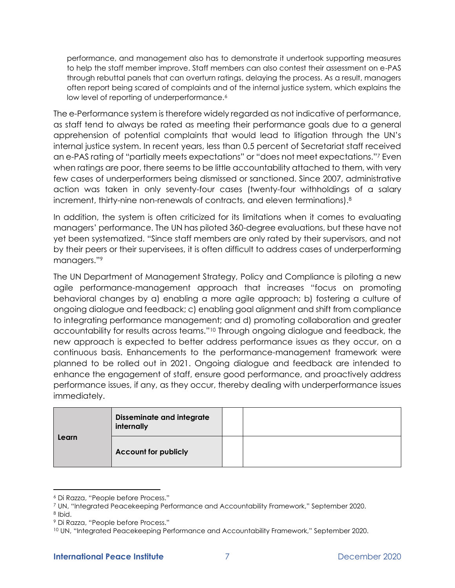performance, and management also has to demonstrate it undertook supporting measures to help the staff member improve. Staff members can also contest their assessment on e-PAS through rebuttal panels that can overturn ratings, delaying the process. As a result, managers often report being scared of complaints and of the internal justice system, which explains the low level of reporting of underperformance.<sup>6</sup>

The e-Performance system is therefore widely regarded as not indicative of performance, as staff tend to always be rated as meeting their performance goals due to a general apprehension of potential complaints that would lead to litigation through the UN's internal justice system. In recent years, less than 0.5 percent of Secretariat staff received an e-PAS rating of "partially meets expectations" or "does not meet expectations."<sup>7</sup> Even when ratings are poor, there seems to be little accountability attached to them, with very few cases of underperformers being dismissed or sanctioned. Since 2007, administrative action was taken in only seventy-four cases (twenty-four withholdings of a salary increment, thirty-nine non-renewals of contracts, and eleven terminations).<sup>8</sup>

In addition, the system is often criticized for its limitations when it comes to evaluating managers' performance. The UN has piloted 360-degree evaluations, but these have not yet been systematized. "Since staff members are only rated by their supervisors, and not by their peers or their supervisees, it is often difficult to address cases of underperforming managers."<sup>9</sup>

The UN Department of Management Strategy, Policy and Compliance is piloting a new agile performance-management approach that increases "focus on promoting behavioral changes by a) enabling a more agile approach; b) fostering a culture of ongoing dialogue and feedback; c) enabling goal alignment and shift from compliance to integrating performance management; and d) promoting collaboration and greater accountability for results across teams."<sup>10</sup> Through ongoing dialogue and feedback, the new approach is expected to better address performance issues as they occur, on a continuous basis. Enhancements to the performance-management framework were planned to be rolled out in 2021. Ongoing dialogue and feedback are intended to enhance the engagement of staff, ensure good performance, and proactively address performance issues, if any, as they occur, thereby dealing with underperformance issues immediately.

|       | <b>Disseminate and integrate</b><br>internally |  |
|-------|------------------------------------------------|--|
| Learn | <b>Account for publicly</b>                    |  |

<sup>6</sup> Di Razza, "People before Process."

<sup>7</sup> UN, "Integrated Peacekeeping Performance and Accountability Framework," September 2020.

<sup>8</sup> Ibid.

<sup>9</sup> Di Razza, "People before Process."

<sup>&</sup>lt;sup>10</sup> UN, "Integrated Peacekeeping Performance and Accountability Framework," September 2020.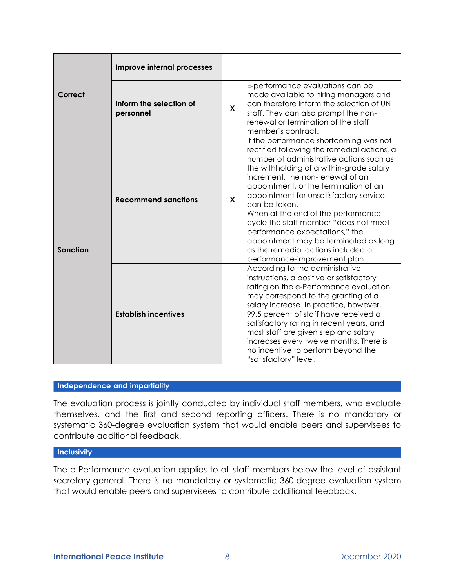|                 | Improve internal processes           |              |                                                                                                                                                                                                                                                                                                                                                                                                                                                                                                                                                        |  |  |
|-----------------|--------------------------------------|--------------|--------------------------------------------------------------------------------------------------------------------------------------------------------------------------------------------------------------------------------------------------------------------------------------------------------------------------------------------------------------------------------------------------------------------------------------------------------------------------------------------------------------------------------------------------------|--|--|
| Correct         | Inform the selection of<br>personnel | $\mathsf{x}$ | E-performance evaluations can be<br>made available to hiring managers and<br>can therefore inform the selection of UN<br>staff. They can also prompt the non-<br>renewal or termination of the staff<br>member's contract.                                                                                                                                                                                                                                                                                                                             |  |  |
| <b>Sanction</b> | <b>Recommend sanctions</b>           | $\mathsf{x}$ | If the performance shortcoming was not<br>rectified following the remedial actions, a<br>number of administrative actions such as<br>the withholding of a within-grade salary<br>increment, the non-renewal of an<br>appointment, or the termination of an<br>appointment for unsatisfactory service<br>can be taken.<br>When at the end of the performance<br>cycle the staff member "does not meet<br>performance expectations," the<br>appointment may be terminated as long<br>as the remedial actions included a<br>performance-improvement plan. |  |  |
|                 | <b>Establish incentives</b>          |              | According to the administrative<br>instructions, a positive or satisfactory<br>rating on the e-Performance evaluation<br>may correspond to the granting of a<br>salary increase. In practice, however,<br>99.5 percent of staff have received a<br>satisfactory rating in recent years, and<br>most staff are given step and salary<br>increases every twelve months. There is<br>no incentive to perform beyond the<br>"satisfactory" level.                                                                                                          |  |  |

## Independence and impartiality

The evaluation process is jointly conducted by individual staff members, who evaluate themselves, and the first and second reporting officers. There is no mandatory or systematic 360-degree evaluation system that would enable peers and supervisees to contribute additional feedback.

#### **Inclusivity**

The e-Performance evaluation applies to all staff members below the level of assistant secretary-general. There is no mandatory or systematic 360-degree evaluation system that would enable peers and supervisees to contribute additional feedback.